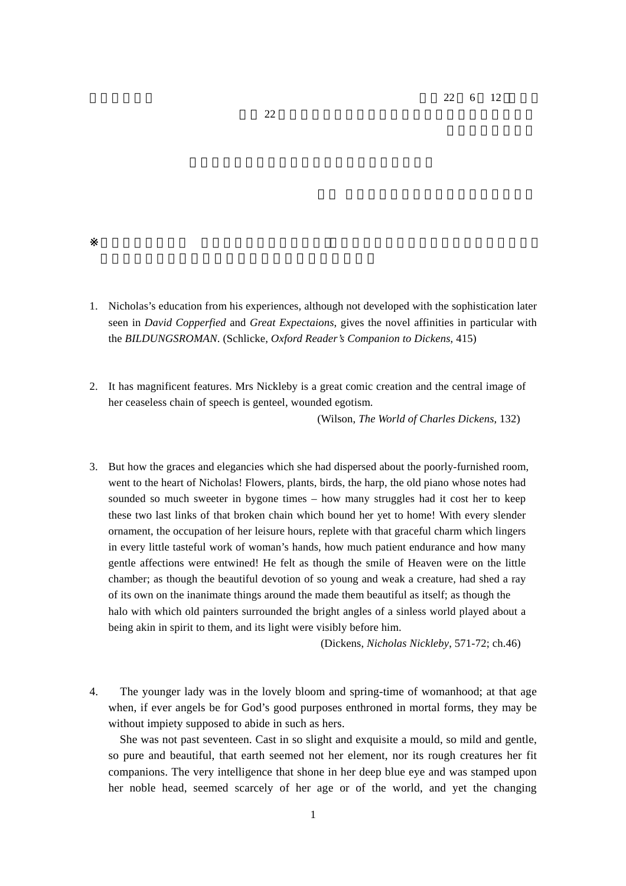$22 \t 6 \t 12$ 

- 1. Nicholas's education from his experiences, although not developed with the sophistication later seen in *David Copperfied* and *Great Expectaions*, gives the novel affinities in particular with the *BILDUNGSROMAN*. (Schlicke, *Oxford Reader's Companion to Dickens*, 415)
- 2. It has magnificent features. Mrs Nickleby is a great comic creation and the central image of her ceaseless chain of speech is genteel, wounded egotism. (Wilson, *The World of Charles Dickens*, 132)

3. But how the graces and elegancies which she had dispersed about the poorly-furnished room, went to the heart of Nicholas! Flowers, plants, birds, the harp, the old piano whose notes had sounded so much sweeter in bygone times – how many struggles had it cost her to keep these two last links of that broken chain which bound her yet to home! With every slender ornament, the occupation of her leisure hours, replete with that graceful charm which lingers in every little tasteful work of woman's hands, how much patient endurance and how many gentle affections were entwined! He felt as though the smile of Heaven were on the little chamber; as though the beautiful devotion of so young and weak a creature, had shed a ray of its own on the inanimate things around the made them beautiful as itself; as though the halo with which old painters surrounded the bright angles of a sinless world played about a being akin in spirit to them, and its light were visibly before him.

(Dickens, *Nicholas Nickleby*, 571-72; ch.46)

4. The younger lady was in the lovely bloom and spring-time of womanhood; at that age when, if ever angels be for God's good purposes enthroned in mortal forms, they may be without impiety supposed to abide in such as hers.

She was not past seventeen. Cast in so slight and exquisite a mould, so mild and gentle, so pure and beautiful, that earth seemed not her element, nor its rough creatures her fit companions. The very intelligence that shone in her deep blue eye and was stamped upon her noble head, seemed scarcely of her age or of the world, and yet the changing

 $22$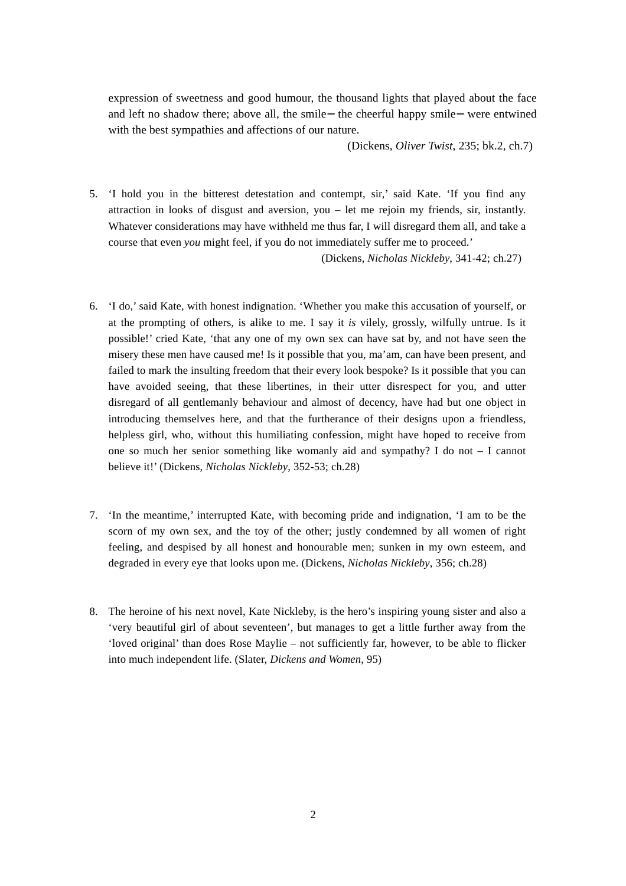expression of sweetness and good humour, the thousand lights that played about the face and left no shadow there; above all, the smile the cheerful happy smile were entwined with the best sympathies and affections of our nature.

(Dickens, *Oliver Twist*, 235; bk.2, ch.7)

5. 'I hold you in the bitterest detestation and contempt, sir,' said Kate. 'If you find any attraction in looks of disgust and aversion, you – let me rejoin my friends, sir, instantly. Whatever considerations may have withheld me thus far, I will disregard them all, and take a course that even *you* might feel, if you do not immediately suffer me to proceed.'

(Dickens, *Nicholas Nickleby*, 341-42; ch.27)

- 6. 'I do,' said Kate, with honest indignation. 'Whether you make this accusation of yourself, or at the prompting of others, is alike to me. I say it *is* vilely, grossly, wilfully untrue. Is it possible!' cried Kate, 'that any one of my own sex can have sat by, and not have seen the misery these men have caused me! Is it possible that you, ma'am, can have been present, and failed to mark the insulting freedom that their every look bespoke? Is it possible that you can have avoided seeing, that these libertines, in their utter disrespect for you, and utter disregard of all gentlemanly behaviour and almost of decency, have had but one object in introducing themselves here, and that the furtherance of their designs upon a friendless, helpless girl, who, without this humiliating confession, might have hoped to receive from one so much her senior something like womanly aid and sympathy? I do not – I cannot believe it!' (Dickens, *Nicholas Nickleby*, 352-53; ch.28)
- 7. 'In the meantime,' interrupted Kate, with becoming pride and indignation, 'I am to be the scorn of my own sex, and the toy of the other; justly condemned by all women of right feeling, and despised by all honest and honourable men; sunken in my own esteem, and degraded in every eye that looks upon me. (Dickens, *Nicholas Nickleby*, 356; ch.28)
- 8. The heroine of his next novel, Kate Nickleby, is the hero's inspiring young sister and also a 'very beautiful girl of about seventeen', but manages to get a little further away from the 'loved original' than does Rose Maylie – not sufficiently far, however, to be able to flicker into much independent life. (Slater, *Dickens and Women*, 95)